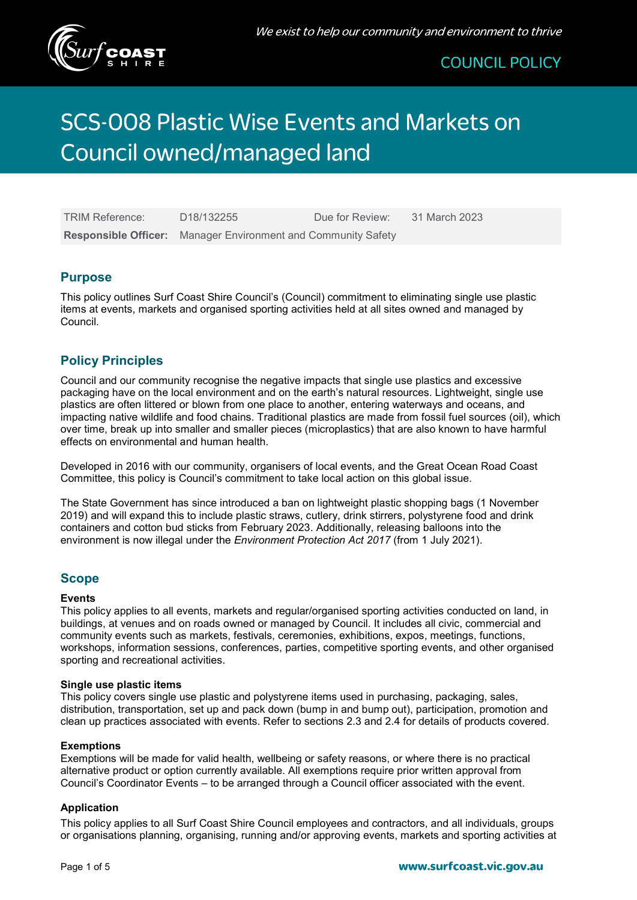

# **SCS-008 Plastic Wise Events and Markets on** Council owned/managed land

| <b>TRIM Reference:</b> | D <sub>18</sub> /132255                                              | Due for Review: | 31 March 2023 |
|------------------------|----------------------------------------------------------------------|-----------------|---------------|
|                        | <b>Responsible Officer:</b> Manager Environment and Community Safety |                 |               |

### **Purpose**

This policy outlines Surf Coast Shire Council's (Council) commitment to eliminating single use plastic items at events, markets and organised sporting activities held at all sites owned and managed by Council.

# Policy Principles

Council and our community recognise the negative impacts that single use plastics and excessive packaging have on the local environment and on the earth's natural resources. Lightweight, single use plastics are often littered or blown from one place to another, entering waterways and oceans, and impacting native wildlife and food chains. Traditional plastics are made from fossil fuel sources (oil), which over time, break up into smaller and smaller pieces (microplastics) that are also known to have harmful effects on environmental and human health.

Developed in 2016 with our community, organisers of local events, and the Great Ocean Road Coast Committee, this policy is Council's commitment to take local action on this global issue.

The State Government has since introduced a ban on lightweight plastic shopping bags (1 November 2019) and will expand this to include plastic straws, cutlery, drink stirrers, polystyrene food and drink containers and cotton bud sticks from February 2023. Additionally, releasing balloons into the environment is now illegal under the Environment Protection Act 2017 (from 1 July 2021).

# Scope

### **Events**

This policy applies to all events, markets and regular/organised sporting activities conducted on land, in buildings, at venues and on roads owned or managed by Council. It includes all civic, commercial and community events such as markets, festivals, ceremonies, exhibitions, expos, meetings, functions, workshops, information sessions, conferences, parties, competitive sporting events, and other organised sporting and recreational activities.

### Single use plastic items

This policy covers single use plastic and polystyrene items used in purchasing, packaging, sales, distribution, transportation, set up and pack down (bump in and bump out), participation, promotion and clean up practices associated with events. Refer to sections 2.3 and 2.4 for details of products covered.

#### Exemptions

Exemptions will be made for valid health, wellbeing or safety reasons, or where there is no practical alternative product or option currently available. All exemptions require prior written approval from Council's Coordinator Events – to be arranged through a Council officer associated with the event.

### Application

This policy applies to all Surf Coast Shire Council employees and contractors, and all individuals, groups or organisations planning, organising, running and/or approving events, markets and sporting activities at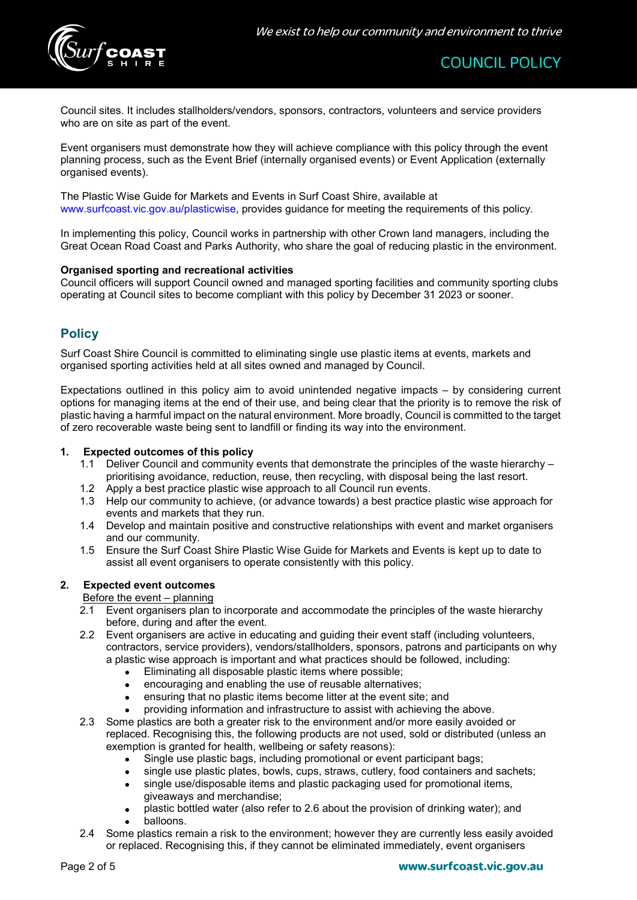

Council sites. It includes stallholders/vendors, sponsors, contractors, volunteers and service providers who are on site as part of the event.

Event organisers must demonstrate how they will achieve compliance with this policy through the event planning process, such as the Event Brief (internally organised events) or Event Application (externally organised events).

The Plastic Wise Guide for Markets and Events in Surf Coast Shire, available at www.surfcoast.vic.gov.au/plasticwise, provides guidance for meeting the requirements of this policy.

In implementing this policy, Council works in partnership with other Crown land managers, including the Great Ocean Road Coast and Parks Authority, who share the goal of reducing plastic in the environment.

### Organised sporting and recreational activities

Council officers will support Council owned and managed sporting facilities and community sporting clubs operating at Council sites to become compliant with this policy by December 31 2023 or sooner.

# **Policy**

Surf Coast Shire Council is committed to eliminating single use plastic items at events, markets and organised sporting activities held at all sites owned and managed by Council.

Expectations outlined in this policy aim to avoid unintended negative impacts – by considering current options for managing items at the end of their use, and being clear that the priority is to remove the risk of plastic having a harmful impact on the natural environment. More broadly, Council is committed to the target of zero recoverable waste being sent to landfill or finding its way into the environment.

#### 1. Expected outcomes of this policy

- 1.1 Deliver Council and community events that demonstrate the principles of the waste hierarchy prioritising avoidance, reduction, reuse, then recycling, with disposal being the last resort.
- 1.2 Apply a best practice plastic wise approach to all Council run events.
- 1.3 Help our community to achieve, (or advance towards) a best practice plastic wise approach for events and markets that they run.
- 1.4 Develop and maintain positive and constructive relationships with event and market organisers and our community.
- 1.5 Ensure the Surf Coast Shire Plastic Wise Guide for Markets and Events is kept up to date to assist all event organisers to operate consistently with this policy.

### 2. Expected event outcomes

### Before the event – planning

- 2.1 Event organisers plan to incorporate and accommodate the principles of the waste hierarchy before, during and after the event.
- 2.2 Event organisers are active in educating and guiding their event staff (including volunteers, contractors, service providers), vendors/stallholders, sponsors, patrons and participants on why a plastic wise approach is important and what practices should be followed, including:
	- Eliminating all disposable plastic items where possible;
	- encouraging and enabling the use of reusable alternatives;
	- ensuring that no plastic items become litter at the event site; and
	- providing information and infrastructure to assist with achieving the above.
- 2.3 Some plastics are both a greater risk to the environment and/or more easily avoided or replaced. Recognising this, the following products are not used, sold or distributed (unless an exemption is granted for health, wellbeing or safety reasons):
	- Single use plastic bags, including promotional or event participant bags;
	- single use plastic plates, bowls, cups, straws, cutlery, food containers and sachets;
	- single use/disposable items and plastic packaging used for promotional items, giveaways and merchandise;
	- plastic bottled water (also refer to 2.6 about the provision of drinking water); and balloons.
- 2.4 Some plastics remain a risk to the environment; however they are currently less easily avoided or replaced. Recognising this, if they cannot be eliminated immediately, event organisers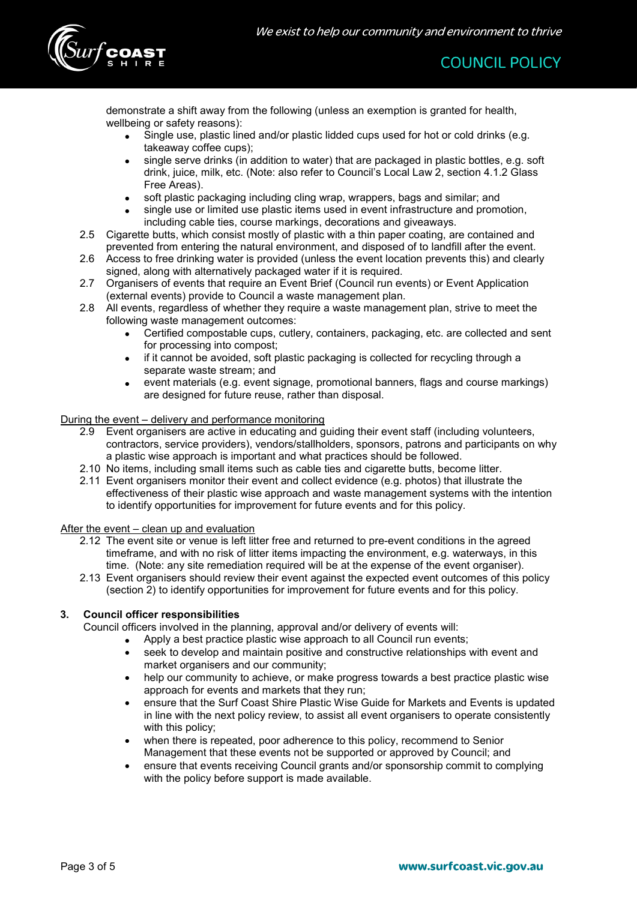

demonstrate a shift away from the following (unless an exemption is granted for health, wellbeing or safety reasons):

- Single use, plastic lined and/or plastic lidded cups used for hot or cold drinks (e.g. takeaway coffee cups);
- single serve drinks (in addition to water) that are packaged in plastic bottles, e.g. soft drink, juice, milk, etc. (Note: also refer to Council's Local Law 2, section 4.1.2 Glass Free Areas).
- soft plastic packaging including cling wrap, wrappers, bags and similar; and
- single use or limited use plastic items used in event infrastructure and promotion, including cable ties, course markings, decorations and giveaways.
- 2.5 Cigarette butts, which consist mostly of plastic with a thin paper coating, are contained and prevented from entering the natural environment, and disposed of to landfill after the event.
- 2.6 Access to free drinking water is provided (unless the event location prevents this) and clearly signed, along with alternatively packaged water if it is required.
- 2.7 Organisers of events that require an Event Brief (Council run events) or Event Application (external events) provide to Council a waste management plan.
- 2.8 All events, regardless of whether they require a waste management plan, strive to meet the following waste management outcomes:
	- Certified compostable cups, cutlery, containers, packaging, etc. are collected and sent for processing into compost;
	- if it cannot be avoided, soft plastic packaging is collected for recycling through a separate waste stream; and
	- event materials (e.g. event signage, promotional banners, flags and course markings) are designed for future reuse, rather than disposal.

### During the event – delivery and performance monitoring

- 2.9 Event organisers are active in educating and guiding their event staff (including volunteers, contractors, service providers), vendors/stallholders, sponsors, patrons and participants on why a plastic wise approach is important and what practices should be followed.
- 2.10 No items, including small items such as cable ties and cigarette butts, become litter.
- 2.11 Event organisers monitor their event and collect evidence (e.g. photos) that illustrate the effectiveness of their plastic wise approach and waste management systems with the intention to identify opportunities for improvement for future events and for this policy.

#### After the event – clean up and evaluation

- 2.12 The event site or venue is left litter free and returned to pre-event conditions in the agreed timeframe, and with no risk of litter items impacting the environment, e.g. waterways, in this time. (Note: any site remediation required will be at the expense of the event organiser).
- 2.13 Event organisers should review their event against the expected event outcomes of this policy (section 2) to identify opportunities for improvement for future events and for this policy.

### 3. Council officer responsibilities

Council officers involved in the planning, approval and/or delivery of events will:

- Apply a best practice plastic wise approach to all Council run events;
- seek to develop and maintain positive and constructive relationships with event and market organisers and our community;
- help our community to achieve, or make progress towards a best practice plastic wise approach for events and markets that they run;
- ensure that the Surf Coast Shire Plastic Wise Guide for Markets and Events is updated in line with the next policy review, to assist all event organisers to operate consistently with this policy;
- when there is repeated, poor adherence to this policy, recommend to Senior Management that these events not be supported or approved by Council; and
- ensure that events receiving Council grants and/or sponsorship commit to complying with the policy before support is made available.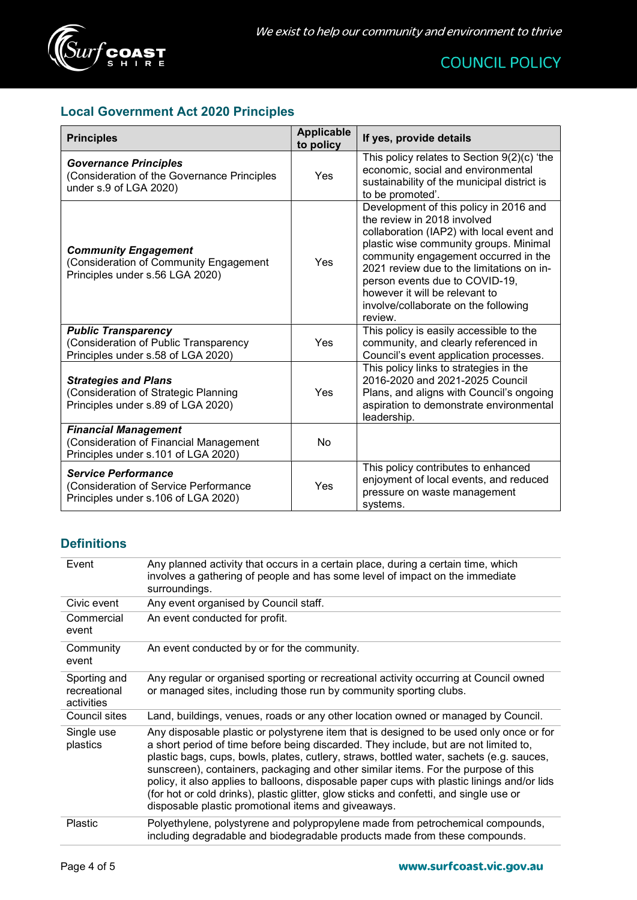

# Local Government Act 2020 Principles

| <b>Principles</b>                                                                                            | <b>Applicable</b><br>to policy | If yes, provide details                                                                                                                                                                                                                                                                                                                                                  |
|--------------------------------------------------------------------------------------------------------------|--------------------------------|--------------------------------------------------------------------------------------------------------------------------------------------------------------------------------------------------------------------------------------------------------------------------------------------------------------------------------------------------------------------------|
| <b>Governance Principles</b><br>(Consideration of the Governance Principles<br>under s.9 of LGA 2020)        | Yes                            | This policy relates to Section $9(2)(c)$ 'the<br>economic, social and environmental<br>sustainability of the municipal district is<br>to be promoted'.                                                                                                                                                                                                                   |
| <b>Community Engagement</b><br>(Consideration of Community Engagement<br>Principles under s.56 LGA 2020)     | Yes                            | Development of this policy in 2016 and<br>the review in 2018 involved<br>collaboration (IAP2) with local event and<br>plastic wise community groups. Minimal<br>community engagement occurred in the<br>2021 review due to the limitations on in-<br>person events due to COVID-19,<br>however it will be relevant to<br>involve/collaborate on the following<br>review. |
| <b>Public Transparency</b><br>(Consideration of Public Transparency<br>Principles under s.58 of LGA 2020)    | Yes                            | This policy is easily accessible to the<br>community, and clearly referenced in<br>Council's event application processes.                                                                                                                                                                                                                                                |
| <b>Strategies and Plans</b><br>(Consideration of Strategic Planning<br>Principles under s.89 of LGA 2020)    | Yes                            | This policy links to strategies in the<br>2016-2020 and 2021-2025 Council<br>Plans, and aligns with Council's ongoing<br>aspiration to demonstrate environmental<br>leadership.                                                                                                                                                                                          |
| <b>Financial Management</b><br>(Consideration of Financial Management<br>Principles under s.101 of LGA 2020) | No                             |                                                                                                                                                                                                                                                                                                                                                                          |
| <b>Service Performance</b><br>(Consideration of Service Performance<br>Principles under s.106 of LGA 2020)   | Yes                            | This policy contributes to enhanced<br>enjoyment of local events, and reduced<br>pressure on waste management<br>systems.                                                                                                                                                                                                                                                |

# **Definitions**

| Event                                      | Any planned activity that occurs in a certain place, during a certain time, which<br>involves a gathering of people and has some level of impact on the immediate<br>surroundings.                                                                                                                                                                                                                                                                                                                                                                                                                                |
|--------------------------------------------|-------------------------------------------------------------------------------------------------------------------------------------------------------------------------------------------------------------------------------------------------------------------------------------------------------------------------------------------------------------------------------------------------------------------------------------------------------------------------------------------------------------------------------------------------------------------------------------------------------------------|
| Civic event                                | Any event organised by Council staff.                                                                                                                                                                                                                                                                                                                                                                                                                                                                                                                                                                             |
| Commercial<br>event                        | An event conducted for profit.                                                                                                                                                                                                                                                                                                                                                                                                                                                                                                                                                                                    |
| Community<br>event                         | An event conducted by or for the community.                                                                                                                                                                                                                                                                                                                                                                                                                                                                                                                                                                       |
| Sporting and<br>recreational<br>activities | Any regular or organised sporting or recreational activity occurring at Council owned<br>or managed sites, including those run by community sporting clubs.                                                                                                                                                                                                                                                                                                                                                                                                                                                       |
| Council sites                              | Land, buildings, venues, roads or any other location owned or managed by Council.                                                                                                                                                                                                                                                                                                                                                                                                                                                                                                                                 |
| Single use<br>plastics                     | Any disposable plastic or polystyrene item that is designed to be used only once or for<br>a short period of time before being discarded. They include, but are not limited to,<br>plastic bags, cups, bowls, plates, cutlery, straws, bottled water, sachets (e.g. sauces,<br>sunscreen), containers, packaging and other similar items. For the purpose of this<br>policy, it also applies to balloons, disposable paper cups with plastic linings and/or lids<br>(for hot or cold drinks), plastic glitter, glow sticks and confetti, and single use or<br>disposable plastic promotional items and giveaways. |
| Plastic                                    | Polyethylene, polystyrene and polypropylene made from petrochemical compounds,<br>including degradable and biodegradable products made from these compounds.                                                                                                                                                                                                                                                                                                                                                                                                                                                      |